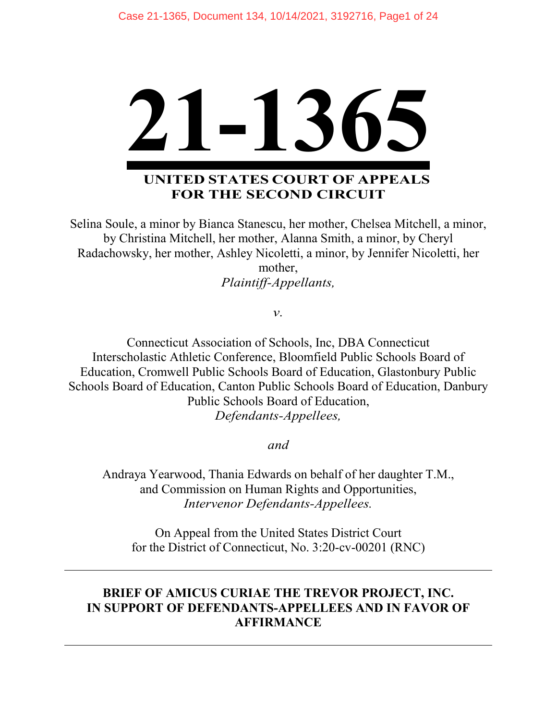

# **UNITED STATES COURT OF APPEALS FOR THE SECOND CIRCUIT**

Selina Soule, a minor by Bianca Stanescu, her mother, Chelsea Mitchell, a minor, by Christina Mitchell, her mother, Alanna Smith, a minor, by Cheryl Radachowsky, her mother, Ashley Nicoletti, a minor, by Jennifer Nicoletti, her

mother, *Plaintiff-Appellants,*

*v.*

Connecticut Association of Schools, Inc, DBA Connecticut Interscholastic Athletic Conference, Bloomfield Public Schools Board of Education, Cromwell Public Schools Board of Education, Glastonbury Public Schools Board of Education, Canton Public Schools Board of Education, Danbury Public Schools Board of Education, *Defendants-Appellees,*

*and*

Andraya Yearwood, Thania Edwards on behalf of her daughter T.M., and Commission on Human Rights and Opportunities, *Intervenor Defendants-Appellees.*

On Appeal from the United States District Court for the District of Connecticut, No. 3:20-cv-00201 (RNC)

# **BRIEF OF AMICUS CURIAE THE TREVOR PROJECT, INC. IN SUPPORT OF DEFENDANTS-APPELLEES AND IN FAVOR OF AFFIRMANCE**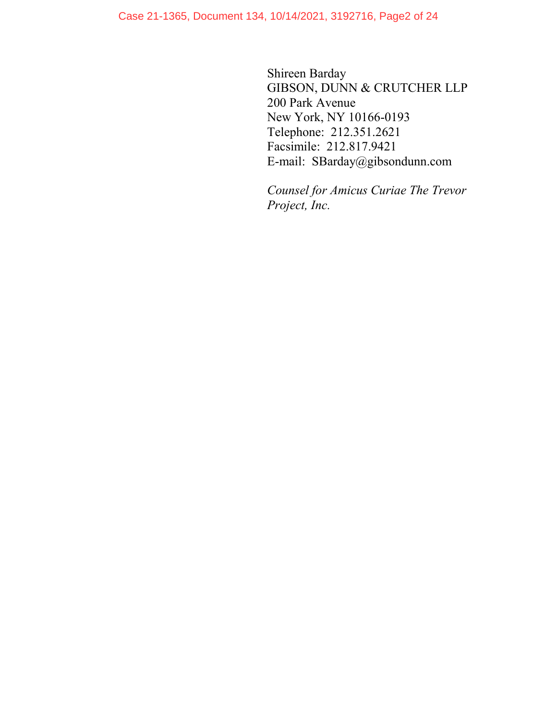Shireen Barday GIBSON, DUNN & CRUTCHER LLP 200 Park Avenue New York, NY 10166-0193 Telephone: 212.351.2621 Facsimile: 212.817.9421 E-mail: SBarday@gibsondunn.com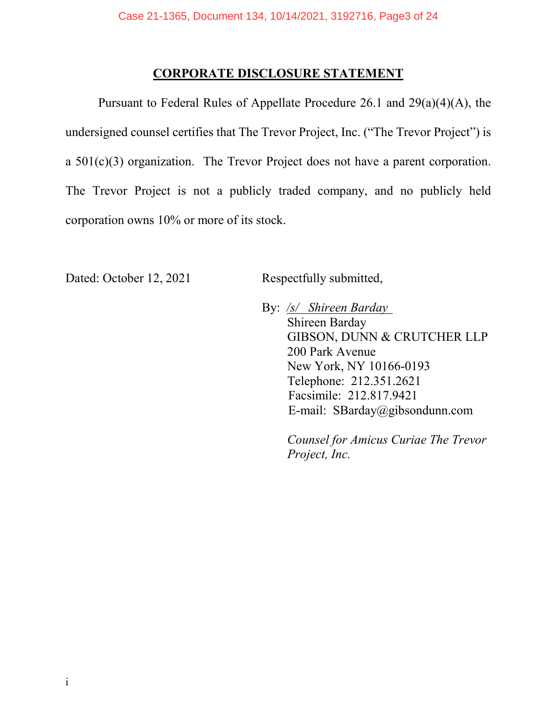### **CORPORATE DISCLOSURE STATEMENT**

Pursuant to Federal Rules of Appellate Procedure 26.1 and 29(a)(4)(A), the undersigned counsel certifies that The Trevor Project, Inc. ("The Trevor Project") is a 501(c)(3) organization. The Trevor Project does not have a parent corporation. The Trevor Project is not a publicly traded company, and no publicly held corporation owns 10% or more of its stock.

Dated: October 12, 2021 Respectfully submitted,

By: */s/ Shireen Barday* Shireen Barday GIBSON, DUNN & CRUTCHER LLP 200 Park Avenue New York, NY 10166-0193 Telephone: 212.351.2621 Facsimile: 212.817.9421 E-mail: SBarday@gibsondunn.com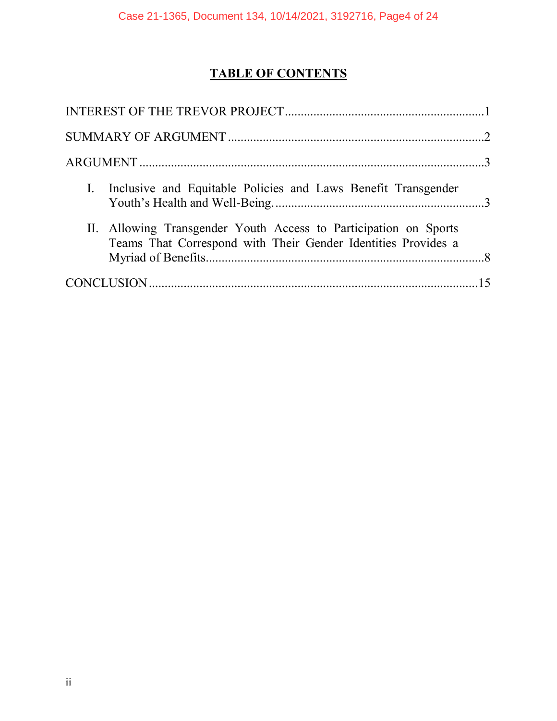# **TABLE OF CONTENTS**

| I. Inclusive and Equitable Policies and Laws Benefit Transgender                                                                  |  |
|-----------------------------------------------------------------------------------------------------------------------------------|--|
| II. Allowing Transgender Youth Access to Participation on Sports<br>Teams That Correspond with Their Gender Identities Provides a |  |
|                                                                                                                                   |  |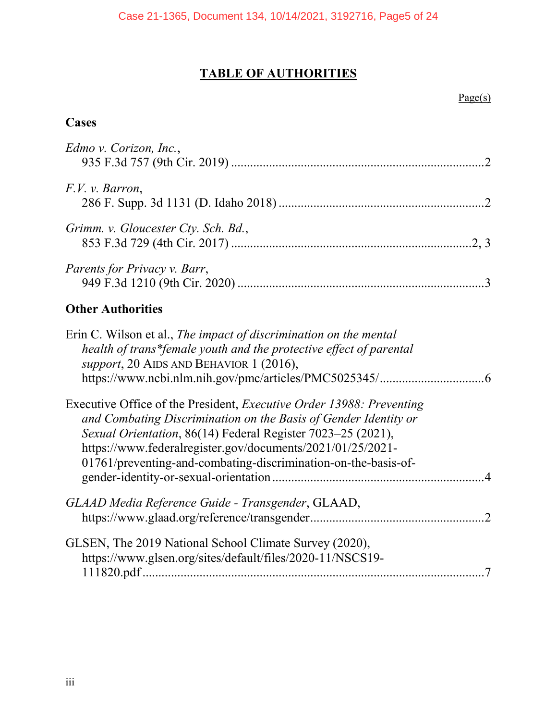# **TABLE OF AUTHORITIES**

#### $Page(s)$

# **Cases**

| Edmo v. Corizon, Inc.,                                                                                                                                                            |  |
|-----------------------------------------------------------------------------------------------------------------------------------------------------------------------------------|--|
| F.V. v. Barron,                                                                                                                                                                   |  |
| Grimm. v. Gloucester Cty. Sch. Bd.,                                                                                                                                               |  |
| <i>Parents for Privacy v. Barr,</i>                                                                                                                                               |  |
| <b>Other Authorities</b>                                                                                                                                                          |  |
| Erin C. Wilson et al., The impact of discrimination on the mental<br>health of trans*female youth and the protective effect of parental<br>$sumort$ 20 AIDS AND BEHAVIOR 1 (2016) |  |

| $\frac{1}{2}$                                                                                                                                  |  |
|------------------------------------------------------------------------------------------------------------------------------------------------|--|
|                                                                                                                                                |  |
| Executive Office of the President, <i>Executive Order 13988: Preventing</i><br>and Combating Discrimination on the Basis of Gender Identity or |  |
| Sexual Orientation, 86(14) Federal Register 7023–25 (2021),                                                                                    |  |
| https://www.federalregister.gov/documents/2021/01/25/2021-                                                                                     |  |
| 01761/preventing-and-combating-discrimination-on-the-basis-of-                                                                                 |  |
|                                                                                                                                                |  |

| GLAAD Media Reference Guide - Transgender, GLAAD,         |  |
|-----------------------------------------------------------|--|
| GLSEN, The 2019 National School Climate Survey (2020),    |  |
| https://www.glsen.org/sites/default/files/2020-11/NSCS19- |  |
|                                                           |  |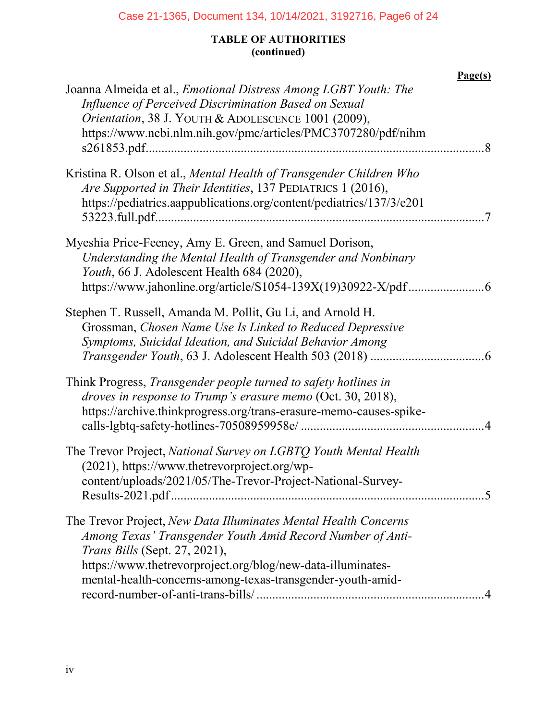# Case 21-1365, Document 134, 10/14/2021, 3192716, Page6 of 24

## **TABLE OF AUTHORITIES (continued)**

| Joanna Almeida et al., <i>Emotional Distress Among LGBT Youth: The</i><br>Influence of Perceived Discrimination Based on Sexual<br>Orientation, 38 J. YOUTH & ADOLESCENCE 1001 (2009),<br>https://www.ncbi.nlm.nih.gov/pmc/articles/PMC3707280/pdf/nihm                                     | Page(s) |
|---------------------------------------------------------------------------------------------------------------------------------------------------------------------------------------------------------------------------------------------------------------------------------------------|---------|
| Kristina R. Olson et al., Mental Health of Transgender Children Who<br>Are Supported in Their Identities, 137 PEDIATRICS 1 (2016),<br>https://pediatrics.aappublications.org/content/pediatrics/137/3/e201                                                                                  |         |
| Myeshia Price-Feeney, Amy E. Green, and Samuel Dorison,<br>Understanding the Mental Health of Transgender and Nonbinary<br>Youth, 66 J. Adolescent Health 684 (2020),                                                                                                                       |         |
| Stephen T. Russell, Amanda M. Pollit, Gu Li, and Arnold H.<br>Grossman, Chosen Name Use Is Linked to Reduced Depressive<br>Symptoms, Suicidal Ideation, and Suicidal Behavior Among                                                                                                         |         |
| Think Progress, Transgender people turned to safety hotlines in<br>droves in response to Trump's erasure memo (Oct. 30, 2018),<br>https://archive.thinkprogress.org/trans-erasure-memo-causes-spike-                                                                                        |         |
| The Trevor Project, National Survey on LGBTQ Youth Mental Health<br>(2021), https://www.thetrevorproject.org/wp-<br>content/uploads/2021/05/The-Trevor-Project-National-Survey-                                                                                                             |         |
| The Trevor Project, New Data Illuminates Mental Health Concerns<br>Among Texas' Transgender Youth Amid Record Number of Anti-<br>Trans Bills (Sept. 27, 2021),<br>https://www.thetrevorproject.org/blog/new-data-illuminates-<br>mental-health-concerns-among-texas-transgender-youth-amid- |         |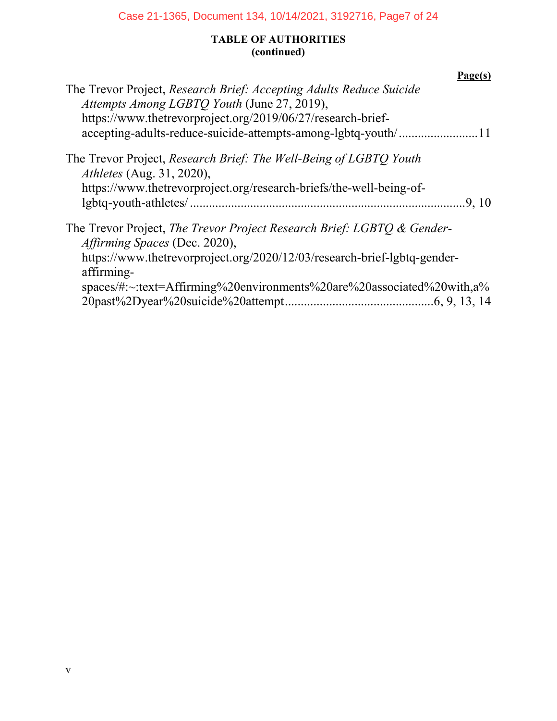## Case 21-1365, Document 134, 10/14/2021, 3192716, Page7 of 24

## **TABLE OF AUTHORITIES (continued)**

| Page(s)                                                                                                                                                                                                                                                                    |  |
|----------------------------------------------------------------------------------------------------------------------------------------------------------------------------------------------------------------------------------------------------------------------------|--|
| The Trevor Project, Research Brief: Accepting Adults Reduce Suicide<br>Attempts Among LGBTO Youth (June 27, 2019),<br>https://www.thetrevorproject.org/2019/06/27/research-brief-<br>accepting-adults-reduce-suicide-attempts-among-lgbtq-youth/11                         |  |
| The Trevor Project, Research Brief: The Well-Being of LGBTO Youth<br><i>Athletes</i> (Aug. 31, 2020),<br>https://www.thetrevorproject.org/research-briefs/the-well-being-of-<br>.9, 10                                                                                     |  |
| The Trevor Project, The Trevor Project Research Brief: LGBTO & Gender-<br>Affirming Spaces (Dec. 2020),<br>https://www.thetrevorproject.org/2020/12/03/research-brief-lgbtq-gender-<br>affirming-<br>spaces/#:~:text=Affirming%20environments%20are%20associated%20with,a% |  |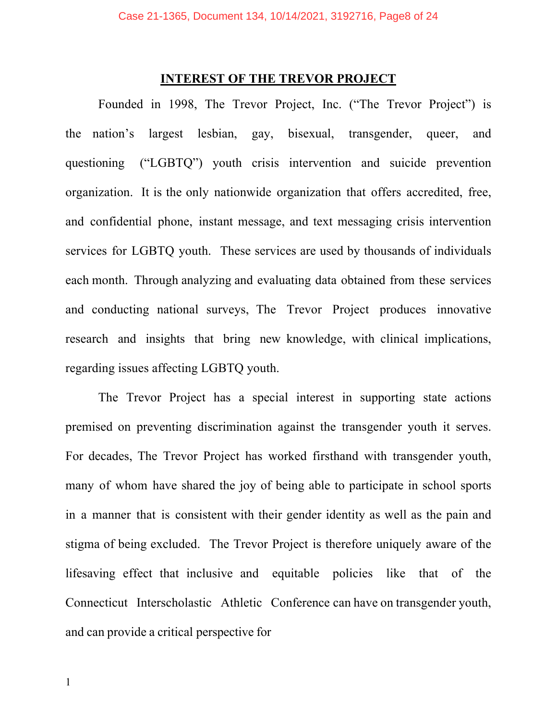### **INTEREST OF THE TREVOR PROJECT**

<span id="page-7-0"></span>Founded in 1998, The Trevor Project, Inc. ("The Trevor Project") is the nation's largest lesbian, gay, bisexual, transgender, queer, and questioning ("LGBTQ") youth crisis intervention and suicide prevention organization. It is the only nationwide organization that offers accredited, free, and confidential phone, instant message, and text messaging crisis intervention services for LGBTQ youth. These services are used by thousands of individuals each month. Through analyzing and evaluating data obtained from these services and conducting national surveys, The Trevor Project produces innovative research and insights that bring new knowledge, with clinical implications, regarding issues affecting LGBTQ youth.

The Trevor Project has a special interest in supporting state actions premised on preventing discrimination against the transgender youth it serves. For decades, The Trevor Project has worked firsthand with transgender youth, many of whom have shared the joy of being able to participate in school sports in a manner that is consistent with their gender identity as well as the pain and stigma of being excluded. The Trevor Project is therefore uniquely aware of the lifesaving effect that inclusive and equitable policies like that of the Connecticut Interscholastic Athletic Conference can have on transgender youth, and can provide a critical perspective for

1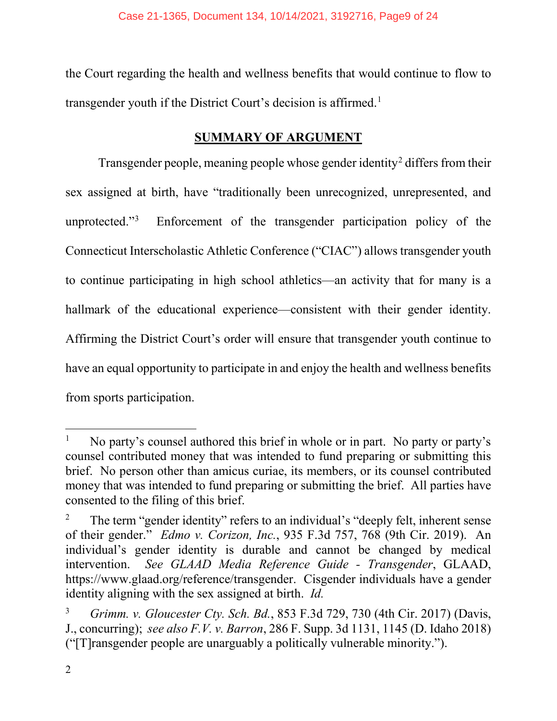the Court regarding the health and wellness benefits that would continue to flow to transgender youth if the District Court's decision is affirmed.<sup>[1](#page-8-5)</sup>

# **SUMMARY OF ARGUMENT**

<span id="page-8-0"></span>Transgender people, meaning people whose gender identity<sup>[2](#page-8-6)</sup> differs from their sex assigned at birth, have "traditionally been unrecognized, unrepresented, and unprotected."[3](#page-8-7) Enforcement of the transgender participation policy of the Connecticut Interscholastic Athletic Conference ("CIAC") allows transgender youth to continue participating in high school athletics—an activity that for many is a hallmark of the educational experience—consistent with their gender identity. Affirming the District Court's order will ensure that transgender youth continue to have an equal opportunity to participate in and enjoy the health and wellness benefits from sports participation.

<span id="page-8-5"></span> <sup>1</sup> No party's counsel authored this brief in whole or in part. No party or party's counsel contributed money that was intended to fund preparing or submitting this brief. No person other than amicus curiae, its members, or its counsel contributed money that was intended to fund preparing or submitting the brief. All parties have consented to the filing of this brief.

<span id="page-8-6"></span><span id="page-8-4"></span><span id="page-8-1"></span><sup>&</sup>lt;sup>2</sup> The term "gender identity" refers to an individual's "deeply felt, inherent sense of their gender." *Edmo v. Corizon, Inc.*, 935 F.3d 757, 768 (9th Cir. 2019). An individual's gender identity is durable and cannot be changed by medical intervention. *See GLAAD Media Reference Guide - Transgender*, GLAAD, https://www.glaad.org/reference/transgender. Cisgender individuals have a gender identity aligning with the sex assigned at birth. *Id.*

<span id="page-8-7"></span><span id="page-8-3"></span><span id="page-8-2"></span><sup>3</sup> *Grimm. v. Gloucester Cty. Sch. Bd.*, 853 F.3d 729, 730 (4th Cir. 2017) (Davis, J., concurring); *see also F.V. v. Barron*, 286 F. Supp. 3d 1131, 1145 (D. Idaho 2018) ("[T]ransgender people are unarguably a politically vulnerable minority.").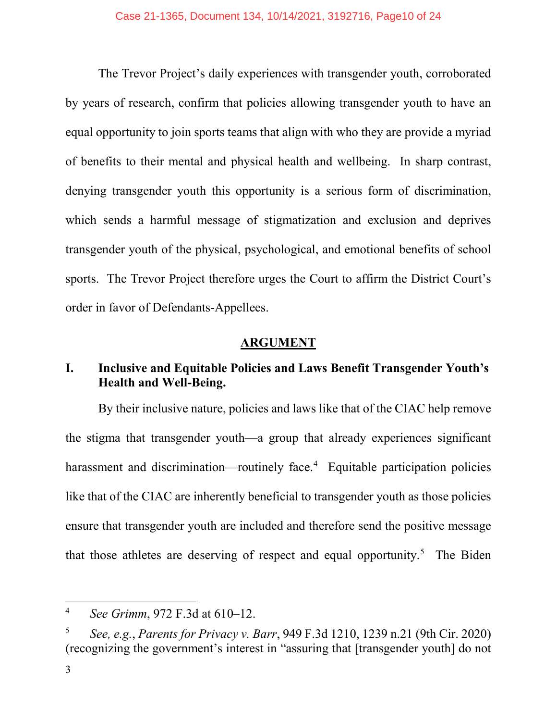The Trevor Project's daily experiences with transgender youth, corroborated by years of research, confirm that policies allowing transgender youth to have an equal opportunity to join sports teams that align with who they are provide a myriad of benefits to their mental and physical health and wellbeing. In sharp contrast, denying transgender youth this opportunity is a serious form of discrimination, which sends a harmful message of stigmatization and exclusion and deprives transgender youth of the physical, psychological, and emotional benefits of school sports. The Trevor Project therefore urges the Court to affirm the District Court's order in favor of Defendants-Appellees.

# **ARGUMENT**

# <span id="page-9-1"></span><span id="page-9-0"></span>**I. Inclusive and Equitable Policies and Laws Benefit Transgender Youth's Health and Well-Being.**

By their inclusive nature, policies and laws like that of the CIAC help remove the stigma that transgender youth—a group that already experiences significant harassment and discrimination—routinely face.<sup>[4](#page-9-4)</sup> Equitable participation policies like that of the CIAC are inherently beneficial to transgender youth as those policies ensure that transgender youth are included and therefore send the positive message that those athletes are deserving of respect and equal opportunity.<sup>[5](#page-9-5)</sup> The Biden

<span id="page-9-4"></span><span id="page-9-2"></span> <sup>4</sup> *See Grimm*, 972 F.3d at 610–12.

<span id="page-9-5"></span><span id="page-9-3"></span><sup>5</sup> *See, e.g.*, *Parents for Privacy v. Barr*, 949 F.3d 1210, 1239 n.21 (9th Cir. 2020) (recognizing the government's interest in "assuring that [transgender youth] do not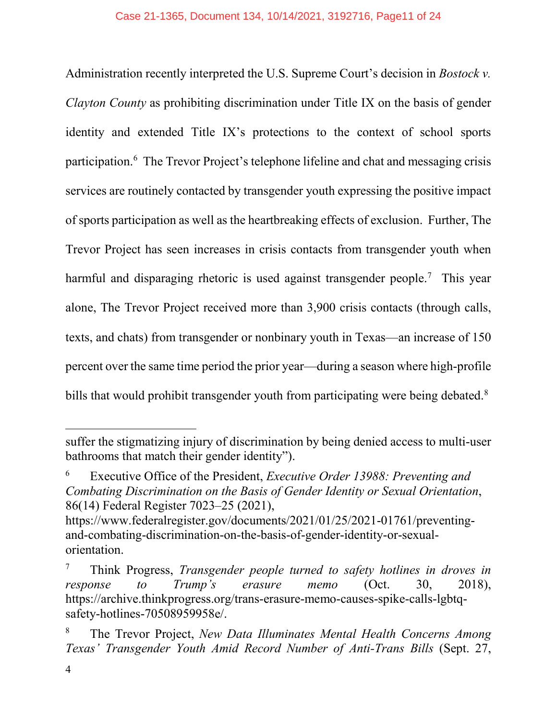Administration recently interpreted the U.S. Supreme Court's decision in *Bostock v. Clayton County* as prohibiting discrimination under Title IX on the basis of gender identity and extended Title IX's protections to the context of school sports participation.<sup>[6](#page-10-3)</sup> The Trevor Project's telephone lifeline and chat and messaging crisis services are routinely contacted by transgender youth expressing the positive impact of sports participation as well as the heartbreaking effects of exclusion. Further, The Trevor Project has seen increases in crisis contacts from transgender youth when harmful and disparaging rhetoric is used against transgender people.<sup>[7](#page-10-4)</sup> This year alone, The Trevor Project received more than 3,900 crisis contacts (through calls, texts, and chats) from transgender or nonbinary youth in Texas—an increase of 150 percent over the same time period the prior year—during a season where high-profile bills that would prohibit transgender youth from participating were being debated.<sup>[8](#page-10-5)</sup>

 $\overline{a}$ 

suffer the stigmatizing injury of discrimination by being denied access to multi-user bathrooms that match their gender identity").

<span id="page-10-3"></span><span id="page-10-0"></span><sup>6</sup> Executive Office of the President, *Executive Order 13988: Preventing and Combating Discrimination on the Basis of Gender Identity or Sexual Orientation*, 86(14) Federal Register 7023–25 (2021),

https://www.federalregister.gov/documents/2021/01/25/2021-01761/preventingand-combating-discrimination-on-the-basis-of-gender-identity-or-sexualorientation.

<span id="page-10-4"></span><span id="page-10-1"></span><sup>7</sup> Think Progress, *Transgender people turned to safety hotlines in droves in response to Trump's erasure memo* (Oct. 30, 2018), https://archive.thinkprogress.org/trans-erasure-memo-causes-spike-calls-lgbtqsafety-hotlines-70508959958e/.

<span id="page-10-5"></span><span id="page-10-2"></span><sup>8</sup> The Trevor Project, *New Data Illuminates Mental Health Concerns Among Texas' Transgender Youth Amid Record Number of Anti-Trans Bills* (Sept. 27,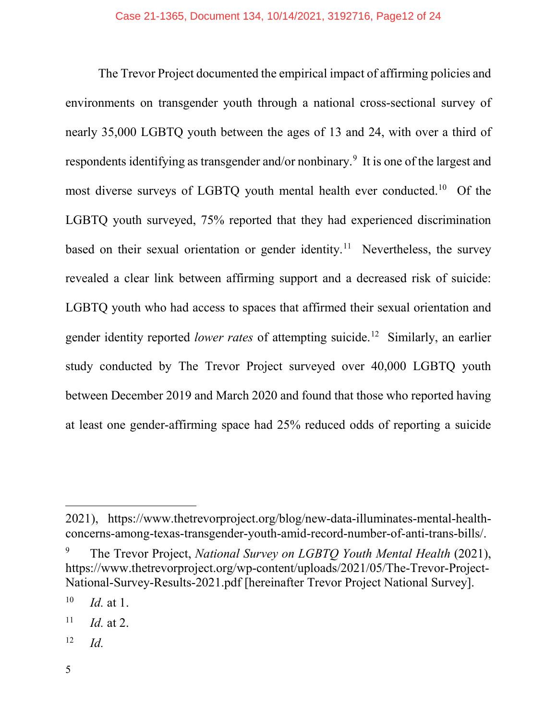The Trevor Project documented the empirical impact of affirming policies and environments on transgender youth through a national cross-sectional survey of nearly 35,000 LGBTQ youth between the ages of 13 and 24, with over a third of respondents identifying as transgender and/or nonbinary.<sup>[9](#page-11-0)</sup> It is one of the largest and most diverse surveys of LGBTQ youth mental health ever conducted.<sup>[10](#page-11-1)</sup> Of the LGBTQ youth surveyed, 75% reported that they had experienced discrimination based on their sexual orientation or gender identity.<sup>11</sup> Nevertheless, the survey revealed a clear link between affirming support and a decreased risk of suicide: LGBTQ youth who had access to spaces that affirmed their sexual orientation and gender identity reported *lower rates* of attempting suicide.[12](#page-11-3) Similarly, an earlier study conducted by The Trevor Project surveyed over 40,000 LGBTQ youth between December 2019 and March 2020 and found that those who reported having at least one gender-affirming space had 25% reduced odds of reporting a suicide

 $\overline{a}$ 

<sup>2021),</sup> https://www.thetrevorproject.org/blog/new-data-illuminates-mental-healthconcerns-among-texas-transgender-youth-amid-record-number-of-anti-trans-bills/.

<span id="page-11-0"></span><sup>9</sup> The Trevor Project, *National Survey on LGBTQ Youth Mental Health* (2021), https://www.thetrevorproject.org/wp-content/uploads/2021/05/The-Trevor-Project-National-Survey-Results-2021.pdf [hereinafter Trevor Project National Survey].

<span id="page-11-1"></span> $10$  *Id.* at 1.

<span id="page-11-2"></span> $11$  *Id.* at 2.

<span id="page-11-3"></span><sup>12</sup> *Id.*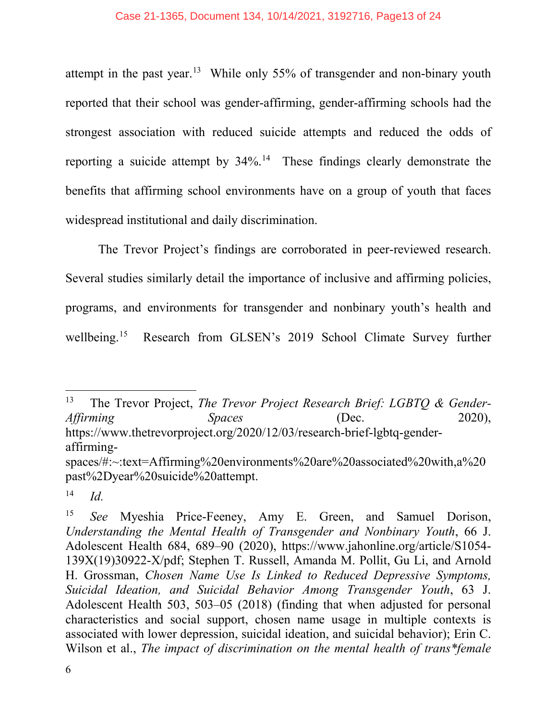attempt in the past year.<sup>[13](#page-12-1)</sup> While only 55% of transgender and non-binary youth reported that their school was gender-affirming, gender-affirming schools had the strongest association with reduced suicide attempts and reduced the odds of reporting a suicide attempt by 34%.<sup>[14](#page-12-2)</sup> These findings clearly demonstrate the benefits that affirming school environments have on a group of youth that faces widespread institutional and daily discrimination.

The Trevor Project's findings are corroborated in peer-reviewed research. Several studies similarly detail the importance of inclusive and affirming policies, programs, and environments for transgender and nonbinary youth's health and wellbeing.<sup>15</sup> Research from GLSEN's 2019 School Climate Survey further

<span id="page-12-1"></span> <sup>13</sup> The Trevor Project, *The Trevor Project Research Brief: LGBTQ & Gender-Affirming Spaces* (Dec. 2020), https://www.thetrevorproject.org/2020/12/03/research-brief-lgbtq-genderaffirming-

spaces/#:~:text=Affirming%20environments%20are%20associated%20with,a%20 past%2Dyear%20suicide%20attempt.

<span id="page-12-2"></span><sup>14</sup> *Id.*

<span id="page-12-3"></span><span id="page-12-0"></span><sup>15</sup> *See* Myeshia Price-Feeney, Amy E. Green, and Samuel Dorison, *Understanding the Mental Health of Transgender and Nonbinary Youth*, 66 J. Adolescent Health 684, 689–90 (2020), https://www.jahonline.org/article/S1054- 139X(19)30922-X/pdf; Stephen T. Russell, Amanda M. Pollit, Gu Li, and Arnold H. Grossman, *Chosen Name Use Is Linked to Reduced Depressive Symptoms, Suicidal Ideation, and Suicidal Behavior Among Transgender Youth*, 63 J. Adolescent Health 503, 503–05 (2018) (finding that when adjusted for personal characteristics and social support, chosen name usage in multiple contexts is associated with lower depression, suicidal ideation, and suicidal behavior); Erin C. Wilson et al., *The impact of discrimination on the mental health of trans\*female*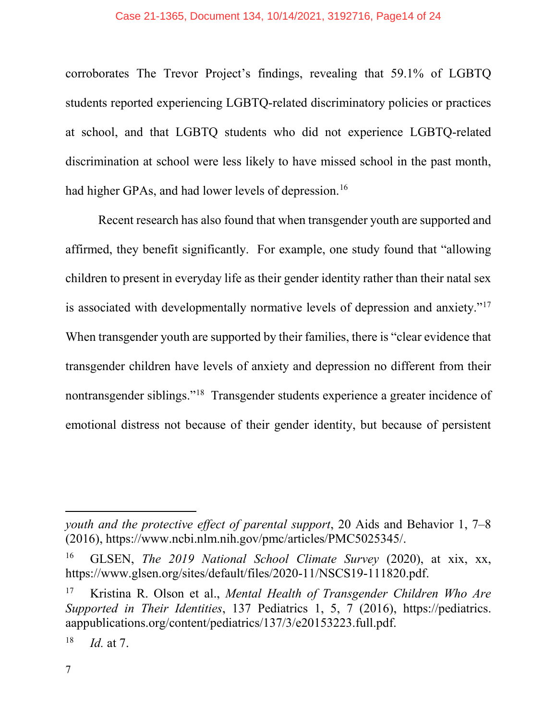### Case 21-1365, Document 134, 10/14/2021, 3192716, Page14 of 24

corroborates The Trevor Project's findings, revealing that 59.1% of LGBTQ students reported experiencing LGBTQ-related discriminatory policies or practices at school, and that LGBTQ students who did not experience LGBTQ-related discrimination at school were less likely to have missed school in the past month, had higher GPAs, and had lower levels of depression.<sup>[16](#page-13-2)</sup>

Recent research has also found that when transgender youth are supported and affirmed, they benefit significantly. For example, one study found that "allowing children to present in everyday life as their gender identity rather than their natal sex is associated with developmentally normative levels of depression and anxiety."[17](#page-13-3) When transgender youth are supported by their families, there is "clear evidence that transgender children have levels of anxiety and depression no different from their nontransgender siblings."[18](#page-13-4) Transgender students experience a greater incidence of emotional distress not because of their gender identity, but because of persistent

 $\overline{a}$ 

*youth and the protective effect of parental support*, 20 Aids and Behavior 1, 7–8 (2016), https://www.ncbi.nlm.nih.gov/pmc/articles/PMC5025345/.

<span id="page-13-2"></span><span id="page-13-0"></span><sup>16</sup> GLSEN, *The 2019 National School Climate Survey* (2020), at xix, xx, https://www.glsen.org/sites/default/files/2020-11/NSCS19-111820.pdf.

<span id="page-13-3"></span><span id="page-13-1"></span><sup>17</sup> Kristina R. Olson et al., *Mental Health of Transgender Children Who Are Supported in Their Identities*, 137 Pediatrics 1, 5, 7 (2016), https://pediatrics. aappublications.org/content/pediatrics/137/3/e20153223.full.pdf.

<span id="page-13-4"></span> $18$  *Id.* at 7.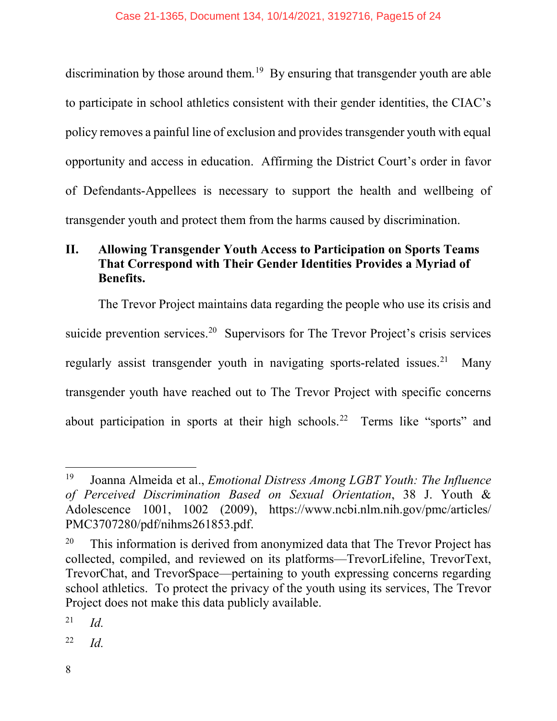discrimination by those around them.<sup>19</sup> By ensuring that transgender youth are able to participate in school athletics consistent with their gender identities, the CIAC's policy removes a painful line of exclusion and provides transgender youth with equal opportunity and access in education. Affirming the District Court's order in favor of Defendants-Appellees is necessary to support the health and wellbeing of transgender youth and protect them from the harms caused by discrimination.

# <span id="page-14-0"></span>**II. Allowing Transgender Youth Access to Participation on Sports Teams That Correspond with Their Gender Identities Provides a Myriad of Benefits.**

The Trevor Project maintains data regarding the people who use its crisis and suicide prevention services.<sup>[20](#page-14-3)</sup> Supervisors for The Trevor Project's crisis services regularly assist transgender youth in navigating sports-related issues.<sup>[21](#page-14-4)</sup> Many transgender youth have reached out to The Trevor Project with specific concerns about participation in sports at their high schools.[22](#page-14-5) Terms like "sports" and

<span id="page-14-5"></span><sup>22</sup> *Id.*

<span id="page-14-2"></span><span id="page-14-1"></span> <sup>19</sup> Joanna Almeida et al., *Emotional Distress Among LGBT Youth: The Influence of Perceived Discrimination Based on Sexual Orientation*, 38 J. Youth & Adolescence 1001, 1002 (2009), https://www.ncbi.nlm.nih.gov/pmc/articles/ PMC3707280/pdf/nihms261853.pdf.

<span id="page-14-3"></span> $20$  This information is derived from anonymized data that The Trevor Project has collected, compiled, and reviewed on its platforms—TrevorLifeline, TrevorText, TrevorChat, and TrevorSpace—pertaining to youth expressing concerns regarding school athletics. To protect the privacy of the youth using its services, The Trevor Project does not make this data publicly available.

<span id="page-14-4"></span><sup>21</sup> *Id.*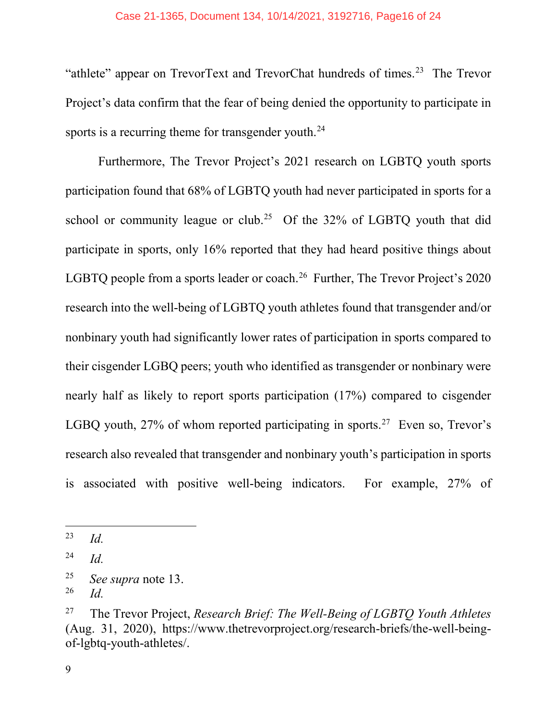#### Case 21-1365, Document 134, 10/14/2021, 3192716, Page16 of 24

"athlete" appear on TrevorText and TrevorChat hundreds of times.<sup>[23](#page-15-2)</sup> The Trevor Project's data confirm that the fear of being denied the opportunity to participate in sports is a recurring theme for transgender youth.<sup>24</sup>

Furthermore, The Trevor Project's 2021 research on LGBTQ youth sports participation found that 68% of LGBTQ youth had never participated in sports for a school or community league or club.<sup>[25](#page-15-4)</sup> Of the  $32\%$  of LGBTQ youth that did participate in sports, only 16% reported that they had heard positive things about LGBTQ people from a sports leader or coach.<sup>26</sup> Further, The Trevor Project's 2020 research into the well-being of LGBTQ youth athletes found that transgender and/or nonbinary youth had significantly lower rates of participation in sports compared to their cisgender LGBQ peers; youth who identified as transgender or nonbinary were nearly half as likely to report sports participation (17%) compared to cisgender LGBQ youth,  $27\%$  $27\%$  of whom reported participating in sports.<sup>27</sup> Even so, Trevor's research also revealed that transgender and nonbinary youth's participation in sports is associated with positive well-being indicators. For example, 27% of

<span id="page-15-2"></span> <sup>23</sup> *Id.*

<span id="page-15-3"></span><sup>24</sup> *Id.*

<span id="page-15-4"></span><sup>&</sup>lt;sup>25</sup> *See supra* note 13.

<span id="page-15-5"></span><span id="page-15-1"></span>*Id.* 

<span id="page-15-6"></span><span id="page-15-0"></span><sup>27</sup> The Trevor Project, *Research Brief: The Well-Being of LGBTQ Youth Athletes* (Aug. 31, 2020), https://www.thetrevorproject.org/research-briefs/the-well-beingof-lgbtq-youth-athletes/.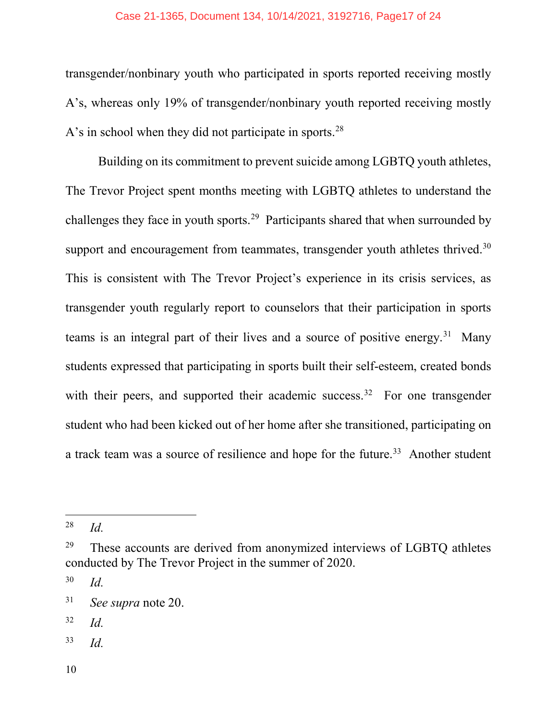#### Case 21-1365, Document 134, 10/14/2021, 3192716, Page17 of 24

transgender/nonbinary youth who participated in sports reported receiving mostly A's, whereas only 19% of transgender/nonbinary youth reported receiving mostly A's in school when they did not participate in sports.<sup>[28](#page-16-1)</sup>

Building on its commitment to prevent suicide among LGBTQ youth athletes, The Trevor Project spent months meeting with LGBTQ athletes to understand the challenges they face in youth sports.[29](#page-16-2) Participants shared that when surrounded by support and encouragement from teammates, transgender youth athletes thrived.<sup>[30](#page-16-3)</sup> This is consistent with The Trevor Project's experience in its crisis services, as transgender youth regularly report to counselors that their participation in sports teams is an integral part of their lives and a source of positive energy.<sup>31</sup> Many students expressed that participating in sports built their self-esteem, created bonds with their peers, and supported their academic success.<sup>32</sup> For one transgender student who had been kicked out of her home after she transitioned, participating on a track team was a source of resilience and hope for the future.<sup>[33](#page-16-6)</sup> Another student

<span id="page-16-1"></span><span id="page-16-0"></span> <sup>28</sup> *Id.*

<span id="page-16-2"></span> $29$  These accounts are derived from anonymized interviews of LGBTQ athletes conducted by The Trevor Project in the summer of 2020.

<span id="page-16-3"></span><sup>30</sup> *Id.*

<span id="page-16-4"></span><sup>31</sup> *See supra* note 20.

<span id="page-16-5"></span><sup>32</sup> *Id.*

<span id="page-16-6"></span><sup>33</sup> *Id.*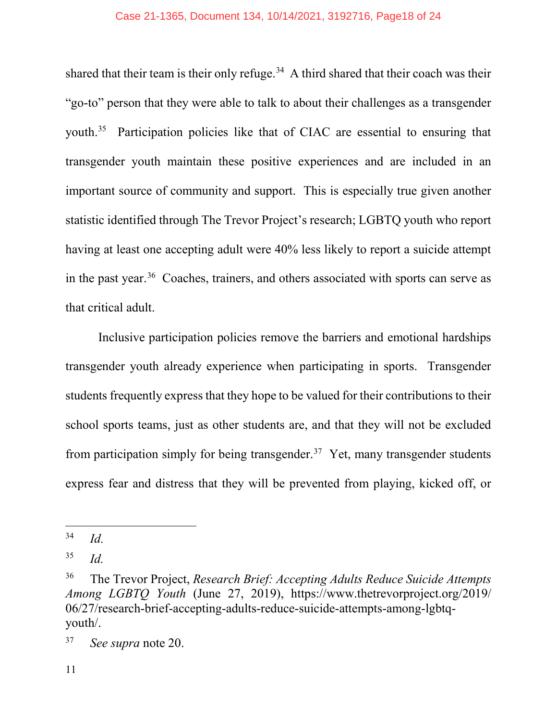shared that their team is their only refuge.<sup>34</sup> A third shared that their coach was their "go-to" person that they were able to talk to about their challenges as a transgender youth. [35](#page-17-2) Participation policies like that of CIAC are essential to ensuring that transgender youth maintain these positive experiences and are included in an important source of community and support. This is especially true given another statistic identified through The Trevor Project's research; LGBTQ youth who report having at least one accepting adult were 40% less likely to report a suicide attempt in the past year.<sup>[36](#page-17-3)</sup> Coaches, trainers, and others associated with sports can serve as that critical adult.

Inclusive participation policies remove the barriers and emotional hardships transgender youth already experience when participating in sports. Transgender students frequently express that they hope to be valued for their contributions to their school sports teams, just as other students are, and that they will not be excluded from participation simply for being transgender.<sup>[37](#page-17-4)</sup> Yet, many transgender students express fear and distress that they will be prevented from playing, kicked off, or

<span id="page-17-1"></span> <sup>34</sup> *Id.*

<span id="page-17-2"></span><sup>35</sup> *Id.*

<span id="page-17-3"></span><span id="page-17-0"></span><sup>36</sup> The Trevor Project, *Research Brief: Accepting Adults Reduce Suicide Attempts Among LGBTQ Youth* (June 27, 2019), https://www.thetrevorproject.org/2019/ 06/27/research-brief-accepting-adults-reduce-suicide-attempts-among-lgbtqyouth/.

<span id="page-17-4"></span><sup>37</sup> *See supra* note 20.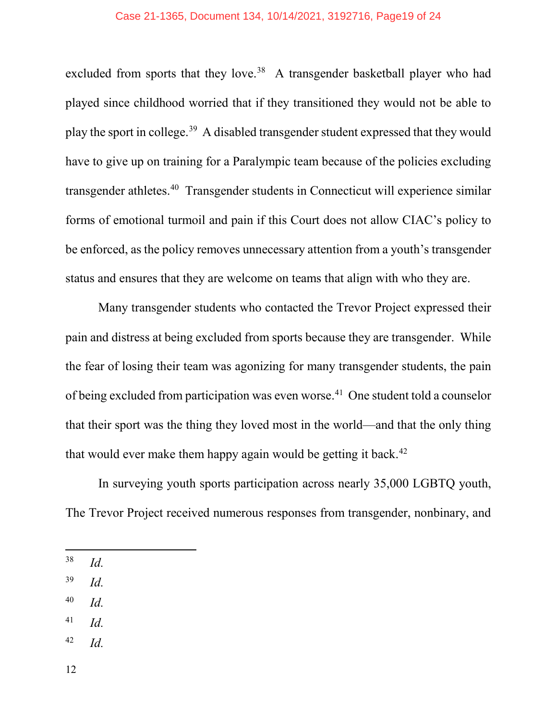#### Case 21-1365, Document 134, 10/14/2021, 3192716, Page19 of 24

excluded from sports that they love.<sup>38</sup> A transgender basketball player who had played since childhood worried that if they transitioned they would not be able to play the sport in college.[39](#page-18-1) A disabled transgender student expressed that they would have to give up on training for a Paralympic team because of the policies excluding transgender athletes.[40](#page-18-2) Transgender students in Connecticut will experience similar forms of emotional turmoil and pain if this Court does not allow CIAC's policy to be enforced, as the policy removes unnecessary attention from a youth's transgender status and ensures that they are welcome on teams that align with who they are.

Many transgender students who contacted the Trevor Project expressed their pain and distress at being excluded from sports because they are transgender. While the fear of losing their team was agonizing for many transgender students, the pain of being excluded from participation was even worse.<sup>41</sup> One student told a counselor that their sport was the thing they loved most in the world—and that the only thing that would ever make them happy again would be getting it back.<sup>42</sup>

In surveying youth sports participation across nearly 35,000 LGBTQ youth, The Trevor Project received numerous responses from transgender, nonbinary, and

- <span id="page-18-1"></span><sup>39</sup> *Id.*
- <span id="page-18-2"></span><sup>40</sup> *Id.*
- <span id="page-18-3"></span><sup>41</sup> *Id.*
- <span id="page-18-4"></span><sup>42</sup> *Id.*

<span id="page-18-0"></span> <sup>38</sup> *Id.*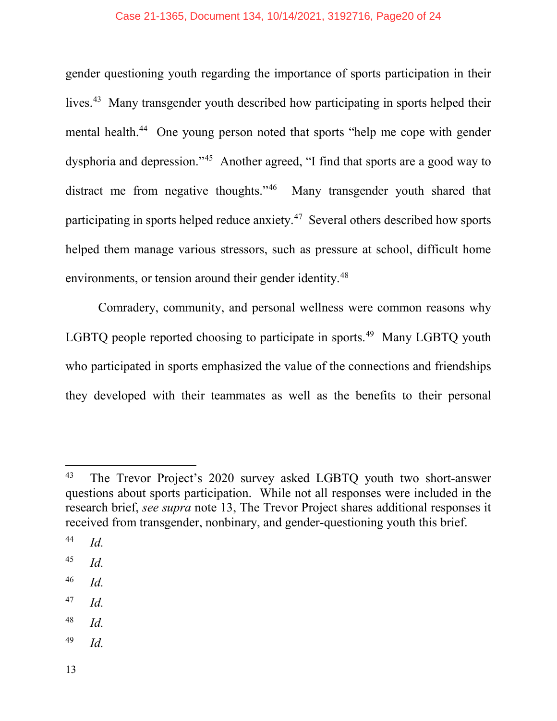#### Case 21-1365, Document 134, 10/14/2021, 3192716, Page20 of 24

gender questioning youth regarding the importance of sports participation in their lives.<sup>43</sup> Many transgender youth described how participating in sports helped their mental health.<sup>[44](#page-19-2)</sup> One young person noted that sports "help me cope with gender dysphoria and depression."[45](#page-19-3) Another agreed, "I find that sports are a good way to distract me from negative thoughts."<sup>46</sup> Many transgender youth shared that participating in sports helped reduce anxiety.[47](#page-19-5) Several others described how sports helped them manage various stressors, such as pressure at school, difficult home environments, or tension around their gender identity.<sup>[48](#page-19-6)</sup>

Comradery, community, and personal wellness were common reasons why LGBTQ people reported choosing to participate in sports.<sup>[49](#page-19-7)</sup> Many LGBTQ youth who participated in sports emphasized the value of the connections and friendships they developed with their teammates as well as the benefits to their personal

- <span id="page-19-5"></span><sup>47</sup> *Id.*
- <span id="page-19-6"></span><sup>48</sup> *Id.*
- <span id="page-19-7"></span><sup>49</sup> *Id.*

<span id="page-19-1"></span><sup>&</sup>lt;sup>43</sup> The Trevor Project's 2020 survey asked LGBTQ youth two short-answer questions about sports participation. While not all responses were included in the research brief, *see supra* note 13, The Trevor Project shares additional responses it received from transgender, nonbinary, and gender-questioning youth this brief.

<span id="page-19-2"></span><span id="page-19-0"></span><sup>44</sup> *Id.*

<span id="page-19-3"></span><sup>45</sup> *Id.*

<span id="page-19-4"></span><sup>46</sup> *Id.*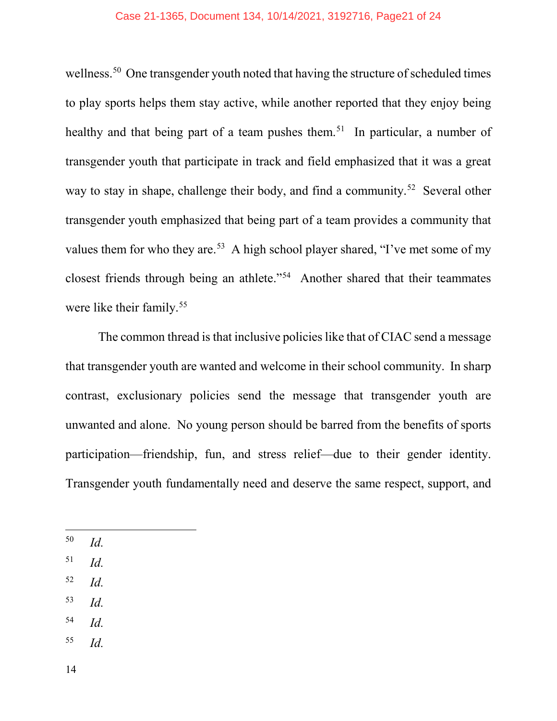#### Case 21-1365, Document 134, 10/14/2021, 3192716, Page21 of 24

wellness.<sup>[50](#page-20-1)</sup> One transgender youth noted that having the structure of scheduled times to play sports helps them stay active, while another reported that they enjoy being healthy and that being part of a team pushes them.<sup>[51](#page-20-2)</sup> In particular, a number of transgender youth that participate in track and field emphasized that it was a great way to stay in shape, challenge their body, and find a community.<sup>52</sup> Several other transgender youth emphasized that being part of a team provides a community that values them for who they are.<sup>53</sup> A high school player shared, "I've met some of my closest friends through being an athlete."[54](#page-20-5) Another shared that their teammates were like their family.<sup>[55](#page-20-6)</sup>

The common thread is that inclusive policies like that of CIAC send a message that transgender youth are wanted and welcome in their school community. In sharp contrast, exclusionary policies send the message that transgender youth are unwanted and alone. No young person should be barred from the benefits of sports participation—friendship, fun, and stress relief—due to their gender identity. Transgender youth fundamentally need and deserve the same respect, support, and

- <span id="page-20-1"></span><span id="page-20-0"></span>50 *Id.*
- <span id="page-20-2"></span><sup>51</sup> *Id.*
- <span id="page-20-3"></span><sup>52</sup> *Id.*
- <span id="page-20-4"></span><sup>53</sup> *Id.*
- <span id="page-20-5"></span><sup>54</sup> *Id.*
- <span id="page-20-6"></span><sup>55</sup> *Id.*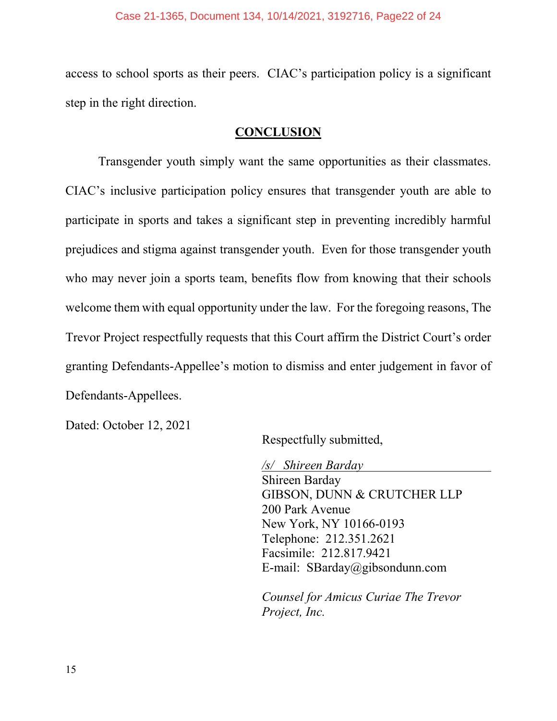#### Case 21-1365, Document 134, 10/14/2021, 3192716, Page22 of 24

access to school sports as their peers. CIAC's participation policy is a significant step in the right direction.

### **CONCLUSION**

<span id="page-21-0"></span>Transgender youth simply want the same opportunities as their classmates. CIAC's inclusive participation policy ensures that transgender youth are able to participate in sports and takes a significant step in preventing incredibly harmful prejudices and stigma against transgender youth. Even for those transgender youth who may never join a sports team, benefits flow from knowing that their schools welcome them with equal opportunity under the law. For the foregoing reasons, The Trevor Project respectfully requests that this Court affirm the District Court's order granting Defendants-Appellee's motion to dismiss and enter judgement in favor of Defendants-Appellees.

Dated: October 12, 2021

Respectfully submitted,

*/s/ Shireen Barday* Shireen Barday GIBSON, DUNN & CRUTCHER LLP 200 Park Avenue New York, NY 10166-0193 Telephone: 212.351.2621 Facsimile: 212.817.9421 E-mail: SBarday@gibsondunn.com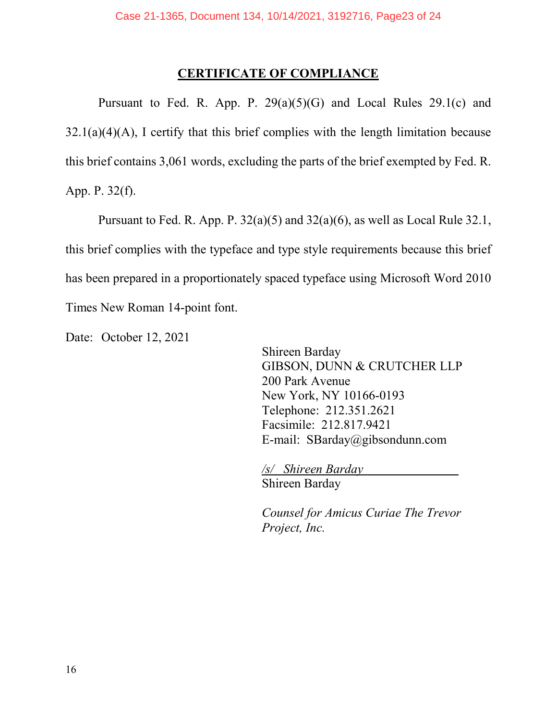### **CERTIFICATE OF COMPLIANCE**

Pursuant to Fed. R. App. P.  $29(a)(5)(G)$  and Local Rules  $29.1(c)$  and  $32.1(a)(4)(A)$ , I certify that this brief complies with the length limitation because this brief contains 3,061 words, excluding the parts of the brief exempted by Fed. R. App. P. 32(f).

Pursuant to Fed. R. App. P. 32(a)(5) and 32(a)(6), as well as Local Rule 32.1, this brief complies with the typeface and type style requirements because this brief has been prepared in a proportionately spaced typeface using Microsoft Word 2010 Times New Roman 14-point font.

Date: October 12, 2021

Shireen Barday GIBSON, DUNN & CRUTCHER LLP 200 Park Avenue New York, NY 10166-0193 Telephone: 212.351.2621 Facsimile: 212.817.9421 E-mail: SBarday@gibsondunn.com

*/s/ Shireen Barday* Shireen Barday